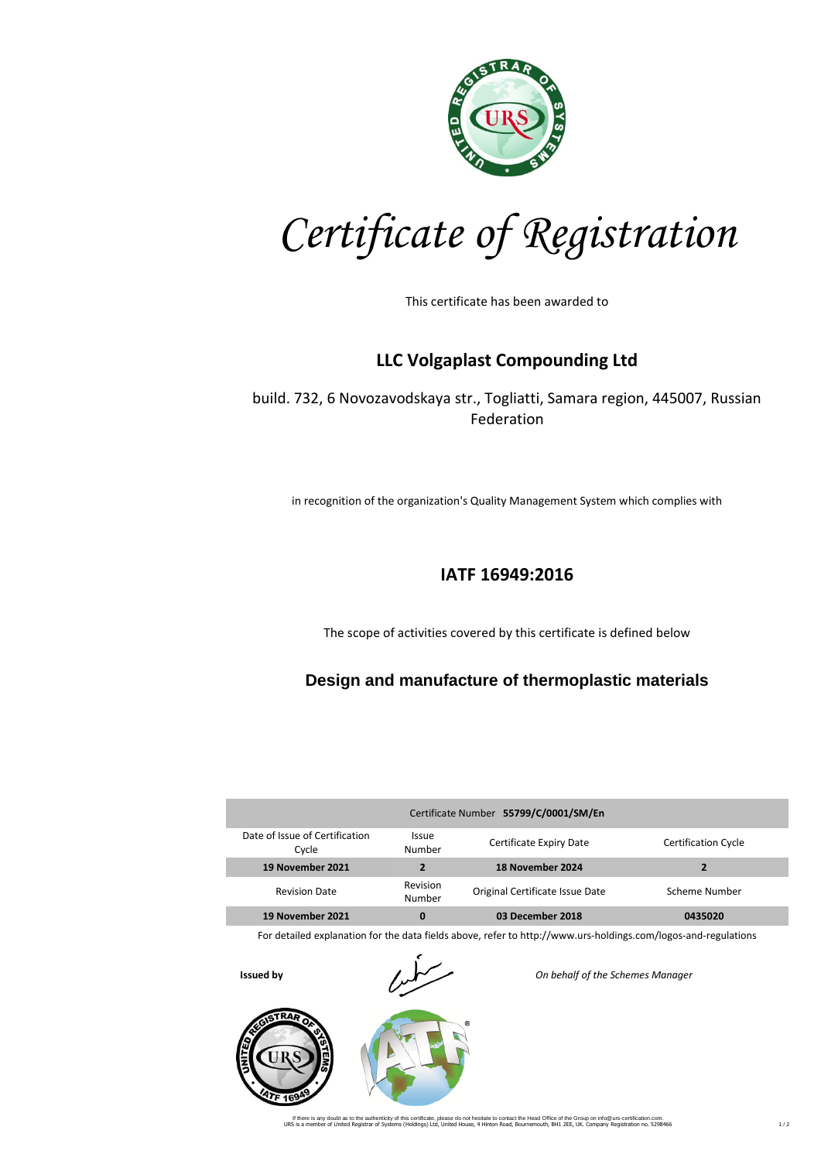

*Certificate of Registration*

This certificate has been awarded to

## **LLC Volgaplast Compounding Ltd**

build. 732, 6 Novozavodskaya str., Togliatti, Samara region, 445007, Russian Federation

in recognition of the organization's Quality Management System which complies with

## **IATF 16949:2016**

The scope of activities covered by this certificate is defined below

## **Design and manufacture of thermoplastic materials**

| Certificate Number 55799/C/0001/SM/En   |                        |                                 |                            |  |  |
|-----------------------------------------|------------------------|---------------------------------|----------------------------|--|--|
| Date of Issue of Certification<br>Cycle | <b>Issue</b><br>Number | Certificate Expiry Date         | <b>Certification Cycle</b> |  |  |
| 19 November 2021                        | $\overline{2}$         | 18 November 2024                |                            |  |  |
| <b>Revision Date</b>                    | Revision<br>Number     | Original Certificate Issue Date | Scheme Number              |  |  |
| 19 November 2021                        | 0                      | 03 December 2018                | 0435020                    |  |  |

For detailed explanation for the data fields above, refer to http://www.urs-holdings.com/logos-and-regulations

**TRA** 



**Issued by** *On behalf of the Schemes Manager*